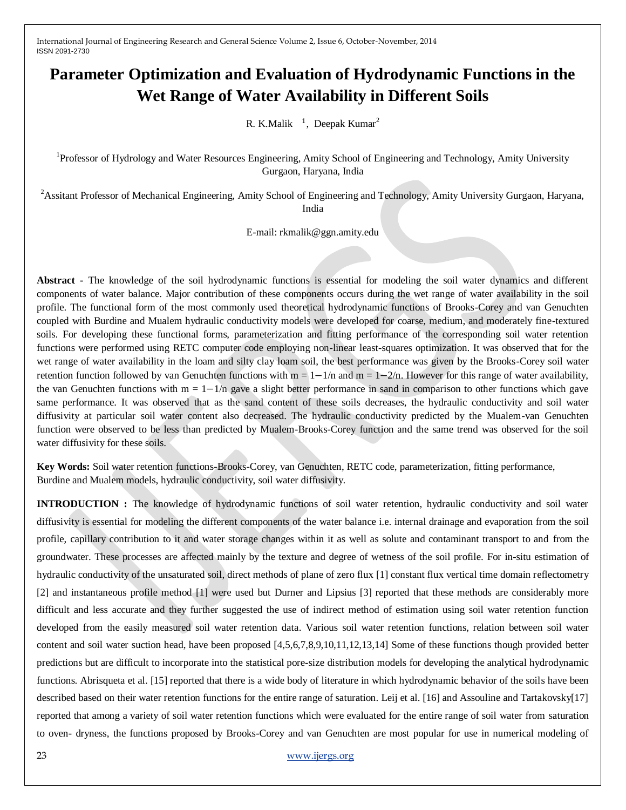# **Parameter Optimization and Evaluation of Hydrodynamic Functions in the Wet Range of Water Availability in Different Soils**

R. K.Malik  $^{-1}$ , Deepak Kumar<sup>2</sup>

<sup>1</sup>Professor of Hydrology and Water Resources Engineering, Amity School of Engineering and Technology, Amity University Gurgaon, Haryana, India

<sup>2</sup> Assitant Professor of Mechanical Engineering, Amity School of Engineering and Technology, Amity University Gurgaon, Haryana, India

E-mail: rkmalik@ggn.amity.edu

**Abstract -** The knowledge of the soil hydrodynamic functions is essential for modeling the soil water dynamics and different components of water balance. Major contribution of these components occurs during the wet range of water availability in the soil profile. The functional form of the most commonly used theoretical hydrodynamic functions of Brooks-Corey and van Genuchten coupled with Burdine and Mualem hydraulic conductivity models were developed for coarse, medium, and moderately fine-textured soils. For developing these functional forms, parameterization and fitting performance of the corresponding soil water retention functions were performed using RETC computer code employing non-linear least-squares optimization. It was observed that for the wet range of water availability in the loam and silty clay loam soil, the best performance was given by the Brooks-Corey soil water retention function followed by van Genuchten functions with  $m = 1 - 1/n$  and  $m = 1 - 2/n$ . However for this range of water availability, the van Genuchten functions with  $m = 1 - 1/n$  gave a slight better performance in sand in comparison to other functions which gave same performance. It was observed that as the sand content of these soils decreases, the hydraulic conductivity and soil water diffusivity at particular soil water content also decreased. The hydraulic conductivity predicted by the Mualem-van Genuchten function were observed to be less than predicted by Mualem-Brooks-Corey function and the same trend was observed for the soil water diffusivity for these soils.

**Key Words:** Soil water retention functions-Brooks-Corey, van Genuchten, RETC code, parameterization, fitting performance, Burdine and Mualem models, hydraulic conductivity, soil water diffusivity.

**INTRODUCTION :** The knowledge of hydrodynamic functions of soil water retention, hydraulic conductivity and soil water diffusivity is essential for modeling the different components of the water balance i.e. internal drainage and evaporation from the soil profile, capillary contribution to it and water storage changes within it as well as solute and contaminant transport to and from the groundwater. These processes are affected mainly by the texture and degree of wetness of the soil profile. For in-situ estimation of hydraulic conductivity of the unsaturated soil, direct methods of plane of zero flux [1] constant flux vertical time domain reflectometry [2] and instantaneous profile method [1] were used but Durner and Lipsius [3] reported that these methods are considerably more difficult and less accurate and they further suggested the use of indirect method of estimation using soil water retention function developed from the easily measured soil water retention data. Various soil water retention functions, relation between soil water content and soil water suction head, have been proposed [4,5,6,7,8,9,10,11,12,13,14] Some of these functions though provided better predictions but are difficult to incorporate into the statistical pore-size distribution models for developing the analytical hydrodynamic functions. Abrisqueta et al. [15] reported that there is a wide body of literature in which hydrodynamic behavior of the soils have been described based on their water retention functions for the entire range of saturation. Leij et al. [16] and Assouline and Tartakovsky[17] reported that among a variety of soil water retention functions which were evaluated for the entire range of soil water from saturation to oven- dryness, the functions proposed by Brooks-Corey and van Genuchten are most popular for use in numerical modeling of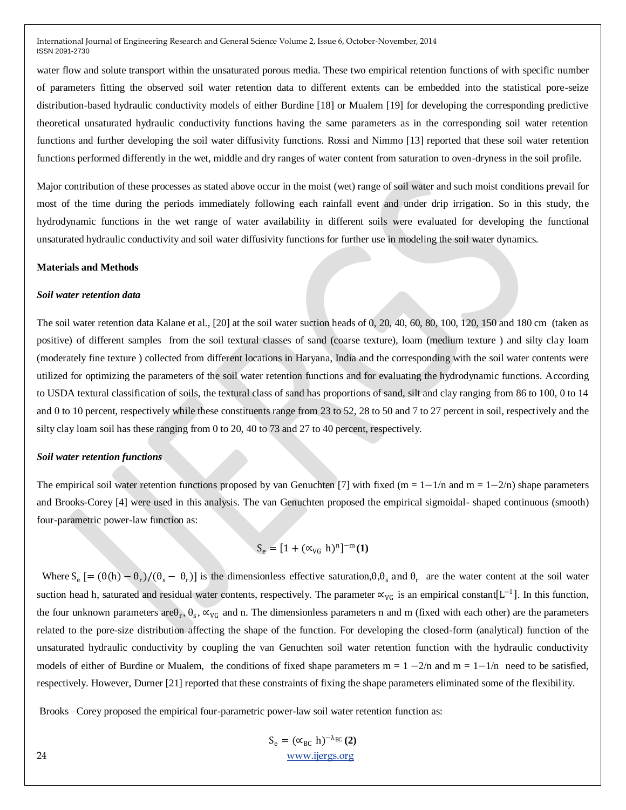water flow and solute transport within the unsaturated porous media. These two empirical retention functions of with specific number of parameters fitting the observed soil water retention data to different extents can be embedded into the statistical pore-seize distribution-based hydraulic conductivity models of either Burdine [18] or Mualem [19] for developing the corresponding predictive theoretical unsaturated hydraulic conductivity functions having the same parameters as in the corresponding soil water retention functions and further developing the soil water diffusivity functions. Rossi and Nimmo [13] reported that these soil water retention functions performed differently in the wet, middle and dry ranges of water content from saturation to oven-dryness in the soil profile.

Major contribution of these processes as stated above occur in the moist (wet) range of soil water and such moist conditions prevail for most of the time during the periods immediately following each rainfall event and under drip irrigation. So in this study, the hydrodynamic functions in the wet range of water availability in different soils were evaluated for developing the functional unsaturated hydraulic conductivity and soil water diffusivity functions for further use in modeling the soil water dynamics.

#### **Materials and Methods**

#### *Soil water retention data*

The soil water retention data Kalane et al., [20] at the soil water suction heads of 0, 20, 40, 60, 80, 100, 120, 150 and 180 cm (taken as positive) of different samples from the soil textural classes of sand (coarse texture), loam (medium texture ) and silty clay loam (moderately fine texture ) collected from different locations in Haryana, India and the corresponding with the soil water contents were utilized for optimizing the parameters of the soil water retention functions and for evaluating the hydrodynamic functions. According to USDA textural classification of soils, the textural class of sand has proportions of sand, silt and clay ranging from 86 to 100, 0 to 14 and 0 to 10 percent, respectively while these constituents range from 23 to 52, 28 to 50 and 7 to 27 percent in soil, respectively and the silty clay loam soil has these ranging from 0 to 20, 40 to 73 and 27 to 40 percent, respectively.

#### *Soil water retention functions*

The empirical soil water retention functions proposed by van Genuchten [7] with fixed (m =  $1-1/n$  and m =  $1-2/n$ ) shape parameters and Brooks-Corey [4] were used in this analysis. The van Genuchten proposed the empirical sigmoidal- shaped continuous (smooth) four-parametric power-law function as:

$$
S_e = [1 + (\alpha_{VG} h)^n]^{-m}(1)
$$

Where  $S_e$   $[=(\theta(h) - \theta_r)/(\theta_s - \theta_r)]$  is the dimensionless effective saturation, $\theta$ , $\theta_s$  and  $\theta_r$  are the water content at the soil water suction head h, saturated and residual water contents, respectively. The parameter  $\alpha_{VG}$  is an empirical constant [L<sup>-1</sup>]. In this function, the four unknown parameters are $\theta_r$ ,  $\theta_s$ ,  $\alpha_{VG}$  and n. The dimensionless parameters n and m (fixed with each other) are the parameters related to the pore-size distribution affecting the shape of the function. For developing the closed-form (analytical) function of the unsaturated hydraulic conductivity by coupling the van Genuchten soil water retention function with the hydraulic conductivity models of either of Burdine or Mualem, the conditions of fixed shape parameters  $m = 1 - 2/n$  and  $m = 1 - 1/n$  need to be satisfied, respectively. However, Durner [21] reported that these constraints of fixing the shape parameters eliminated some of the flexibility.

Brooks –Corey proposed the empirical four-parametric power-law soil water retention function as:

$$
S_e = (\alpha_{BC} \ h)^{-\lambda_{BC}}(2)
$$
  
24  
www.jergs.org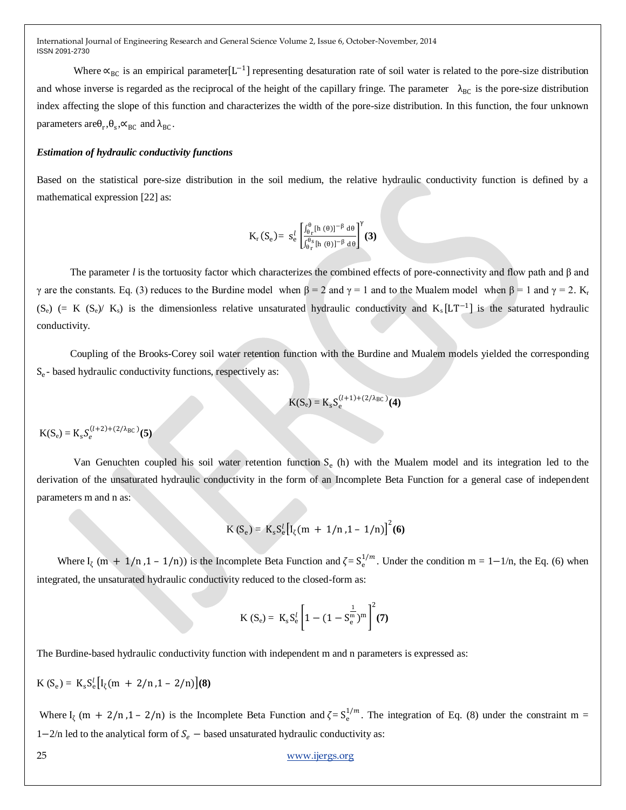Where  $\alpha_{BC}$  is an empirical parameter [L<sup>-1</sup>] representing desaturation rate of soil water is related to the pore-size distribution and whose inverse is regarded as the reciprocal of the height of the capillary fringe. The parameter  $\lambda_{BC}$  is the pore-size distribution index affecting the slope of this function and characterizes the width of the pore-size distribution. In this function, the four unknown parameters are  $\theta_r$ ,  $\theta_s$ ,  $\propto$ <sub>BC</sub> and  $\lambda_{BC}$ .

#### *Estimation of hydraulic conductivity functions*

Based on the statistical pore-size distribution in the soil medium, the relative hydraulic conductivity function is defined by a mathematical expression [22] as:

$$
K_r(S_e) = s_e^l \left[ \frac{\int_{\theta_r}^{\theta} [h(\theta)]^{-\beta} d\theta}{\int_{\theta_r}^{\theta_s} [h(\theta)]^{-\beta} d\theta} \right]^{\gamma} (3)
$$

 The parameter *l* is the tortuosity factor which characterizes the combined effects of pore-connectivity and flow path and β and γ are the constants. Eq. (3) reduces to the Burdine model when  $β = 2$  and γ = 1 and to the Mualem model when  $β = 1$  and γ = 2. K<sub>r</sub>  $(S_e)$  (= K  $(S_e)$  K<sub>s</sub>) is the dimensionless relative unsaturated hydraulic conductivity and K<sub>s</sub>[LT<sup>-1</sup>] is the saturated hydraulic conductivity.

 Coupling of the Brooks-Corey soil water retention function with the Burdine and Mualem models yielded the corresponding Se - based hydraulic conductivity functions, respectively as:

$$
K(S_e) = K_s S_e^{(l+1)+(2/\lambda_{BC})}(4)
$$

 $K(S_e) = K_s S_e^{(l+2)+(2/\lambda_{BC})}(5)$ 

Van Genuchten coupled his soil water retention function  $S_e$  (h) with the Mualem model and its integration led to the derivation of the unsaturated hydraulic conductivity in the form of an Incomplete Beta Function for a general case of independent parameters m and n as:

$$
K(S_e) = K_s S_e^l [I_\zeta(m + 1/n, 1 - 1/n)]^2(6)
$$

Where  $I_{\zeta}$  (m + 1/n,1 – 1/n)) is the Incomplete Beta Function and  $\zeta = S_e^{1/m}$ . Under the condition m = 1–1/n, the Eq. (6) when integrated, the unsaturated hydraulic conductivity reduced to the closed-form as:

$$
K(S_e) = K_s S_e^l \left[ 1 - (1 - S_e^{\frac{1}{m}})^m \right]^2 (7)
$$

The Burdine-based hydraulic conductivity function with independent m and n parameters is expressed as:

$$
K(S_e) = K_s S_e^l [I_\zeta(m + 2/n, 1 - 2/n)](8)
$$

Where  $I_{\zeta}$  (m + 2/n,1 - 2/n) is the Incomplete Beta Function and  $\zeta = S_e^{1/m}$ . The integration of Eq. (8) under the constraint m = 1−2/n led to the analytical form of  $S_e$  – based unsaturated hydraulic conductivity as: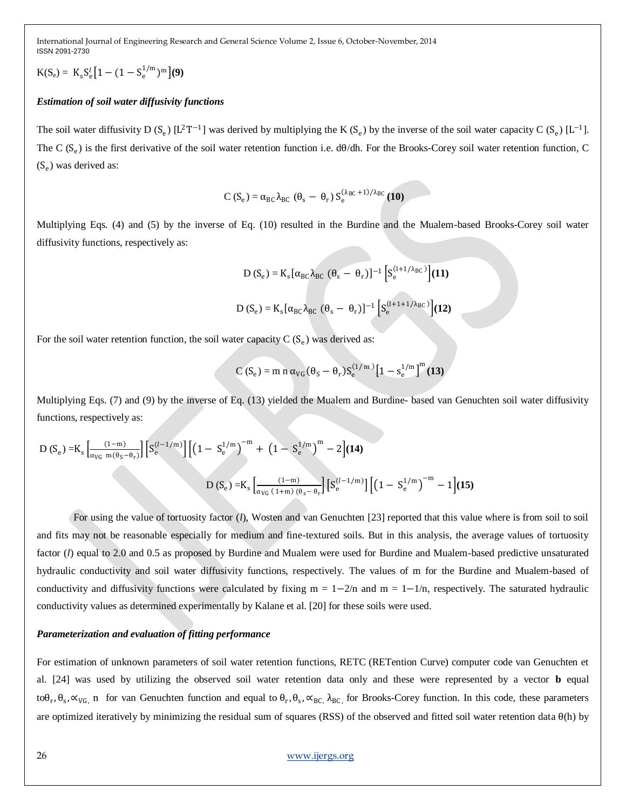$$
K(S_e) = K_s S_e^l [1 - (1 - S_e^{1/m})^m]
$$
(9)

#### *Estimation of soil water diffusivity functions*

The soil water diffusivity D  $(S_e)$  [L<sup>2</sup>T<sup>-1</sup>] was derived by multiplying the K  $(S_e)$  by the inverse of the soil water capacity C  $(S_e)$  [L<sup>-1</sup>]. The C  $(S_e)$  is the first derivative of the soil water retention function i.e. d $\theta$ /dh. For the Brooks-Corey soil water retention function, C (S<sup>e</sup> ) was derived as:

$$
C(S_e) = \alpha_{BC} \lambda_{BC} (\theta_s - \theta_r) S_e^{(\lambda_{BC}+1)/\lambda_{BC}}(10)
$$

Multiplying Eqs. (4) and (5) by the inverse of Eq. (10) resulted in the Burdine and the Mualem-based Brooks-Corey soil water diffusivity functions, respectively as:

D (S<sub>e</sub>) = K<sub>s</sub> [
$$
\alpha_{BC} \lambda_{BC}
$$
 ( $\theta_s - \theta_r$ )]<sup>-1</sup> [S<sub>e</sub><sup>(1+1/ $\lambda_{BC}$ )](11)  
D (S<sub>e</sub>) = K<sub>s</sub> [ $\alpha_{BC} \lambda_{BC}$  ( $\theta_s - \theta_r$ )]<sup>-1</sup> [S<sub>e</sub><sup>(1+1+1/ $\lambda_{BC}$ )](12)</sup></sup>

For the soil water retention function, the soil water capacity  $C(S_e)$  was derived as:

$$
C(S_e) = m n \alpha_{VG} (\theta_S - \theta_r) S_e^{(1/m)} [1 - s_e^{1/m}]^m (13)
$$

Multiplying Eqs. (7) and (9) by the inverse of Eq. (13) yielded the Mualem and Burdine- based van Genuchten soil water diffusivity functions, respectively as:

$$
D\left(S_e\right) = K_s \left[ \frac{(1-m)}{\alpha_{VG} \ m(\theta_S - \theta_r)}\right] \left[S_e^{(l-1/m)}\right] \left[ \left(1 - S_e^{1/m}\right)^{-m} + \left(1 - S_e^{1/m}\right)^m - 2 \right] \left(14\right)
$$
  

$$
D\left(S_e\right) = K_s \left[ \frac{(1-m)}{\alpha_{VG} \left(1+m\right) \left(\theta_S - \theta_r\right)}\right] \left[S_e^{(l-1/m)}\right] \left[ \left(1 - S_e^{1/m}\right)^{-m} - 1 \right] \left(15\right)
$$

For using the value of tortuosity factor (*l*), Wosten and van Genuchten [23] reported that this value where is from soil to soil and fits may not be reasonable especially for medium and fine-textured soils. But in this analysis, the average values of tortuosity factor (*l*) equal to 2.0 and 0.5 as proposed by Burdine and Mualem were used for Burdine and Mualem-based predictive unsaturated hydraulic conductivity and soil water diffusivity functions, respectively. The values of m for the Burdine and Mualem-based of conductivity and diffusivity functions were calculated by fixing  $m = 1 - 2/n$  and  $m = 1 - 1/n$ , respectively. The saturated hydraulic conductivity values as determined experimentally by Kalane et al. [20] for these soils were used.

#### *Parameterization and evaluation of fitting performance*

For estimation of unknown parameters of soil water retention functions, RETC (RETention Curve) computer code van Genuchten et al. [24] was used by utilizing the observed soil water retention data only and these were represented by a vector **b** equal to $\theta_r$ ,  $\theta_s$ ,  $\alpha_{VG}$ , n for van Genuchten function and equal to  $\theta_r$ ,  $\theta_s$ ,  $\alpha_{BC}$ ,  $\lambda_{BC}$ , for Brooks-Corey function. In this code, these parameters are optimized iteratively by minimizing the residual sum of squares (RSS) of the observed and fitted soil water retention data  $\theta$ (h) by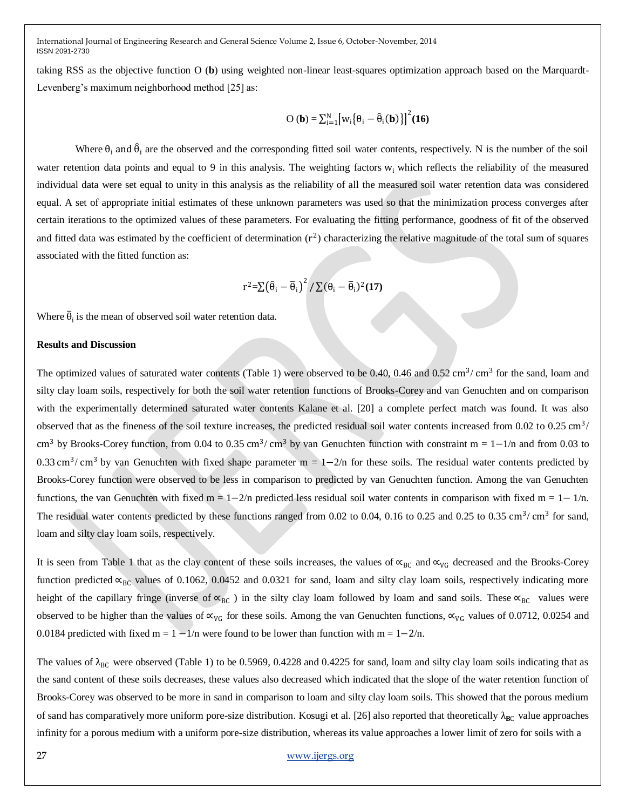taking RSS as the objective function O (**b**) using weighted non-linear least-squares optimization approach based on the Marquardt-Levenberg's maximum neighborhood method [25] as:

$$
\mathbf{O}(\mathbf{b}) = \sum_{i=1}^{N} \left[ w_i \{ \theta_i - \hat{\theta}_i(\mathbf{b}) \} \right]^2 (\mathbf{16})
$$

Where  $\theta_i$  and  $\hat{\theta}_i$  are the observed and the corresponding fitted soil water contents, respectively. N is the number of the soil water retention data points and equal to 9 in this analysis. The weighting factors  $w_i$  which reflects the reliability of the measured individual data were set equal to unity in this analysis as the reliability of all the measured soil water retention data was considered equal. A set of appropriate initial estimates of these unknown parameters was used so that the minimization process converges after certain iterations to the optimized values of these parameters. For evaluating the fitting performance, goodness of fit of the observed and fitted data was estimated by the coefficient of determination  $(r^2)$  characterizing the relative magnitude of the total sum of squares associated with the fitted function as:

$$
r^2 = \sum (\hat{\theta}_i - \bar{\theta}_i)^2 / \sum (\theta_i - \bar{\theta}_i)^2 (17)
$$

Where  $\overline{\theta}_i$  is the mean of observed soil water retention data.

## **Results and Discussion**

The optimized values of saturated water contents (Table 1) were observed to be 0.40, 0.46 and  $0.52 \text{ cm}^3/\text{ cm}^3$  for the sand, loam and silty clay loam soils, respectively for both the soil water retention functions of Brooks-Corey and van Genuchten and on comparison with the experimentally determined saturated water contents Kalane et al. [20] a complete perfect match was found. It was also observed that as the fineness of the soil texture increases, the predicted residual soil water contents increased from 0.02 to 0.25 cm<sup>3</sup>/ cm<sup>3</sup> by Brooks-Corey function, from 0.04 to 0.35 cm<sup>3</sup>/ cm<sup>3</sup> by van Genuchten function with constraint m = 1–1/n and from 0.03 to 0.33 cm<sup>3</sup>/ cm<sup>3</sup> by van Genuchten with fixed shape parameter m =  $1-2/n$  for these soils. The residual water contents predicted by Brooks-Corey function were observed to be less in comparison to predicted by van Genuchten function. Among the van Genuchten functions, the van Genuchten with fixed m = 1−2/n predicted less residual soil water contents in comparison with fixed m = 1− 1/n. The residual water contents predicted by these functions ranged from 0.02 to 0.04, 0.16 to 0.25 and 0.25 to 0.35 cm<sup>3</sup>/cm<sup>3</sup> for sand, loam and silty clay loam soils, respectively.

It is seen from Table 1 that as the clay content of these soils increases, the values of  $\alpha_{BC}$  and  $\alpha_{VG}$  decreased and the Brooks-Corey function predicted  $\alpha_{BC}$  values of 0.1062, 0.0452 and 0.0321 for sand, loam and silty clay loam soils, respectively indicating more height of the capillary fringe (inverse of  $\alpha_{BC}$ ) in the silty clay loam followed by loam and sand soils. These  $\alpha_{BC}$  values were observed to be higher than the values of  $\alpha_{VG}$  for these soils. Among the van Genuchten functions,  $\alpha_{VG}$  values of 0.0712, 0.0254 and 0.0184 predicted with fixed m =  $1 - 1/n$  were found to be lower than function with m =  $1 - 2/n$ .

The values of  $\lambda_{BC}$  were observed (Table 1) to be 0.5969, 0.4228 and 0.4225 for sand, loam and silty clay loam soils indicating that as the sand content of these soils decreases, these values also decreased which indicated that the slope of the water retention function of Brooks-Corey was observed to be more in sand in comparison to loam and silty clay loam soils. This showed that the porous medium of sand has comparatively more uniform pore-size distribution. Kosugi et al. [26] also reported that theoretically  $\lambda_{BC}$  value approaches infinity for a porous medium with a uniform pore-size distribution, whereas its value approaches a lower limit of zero for soils with a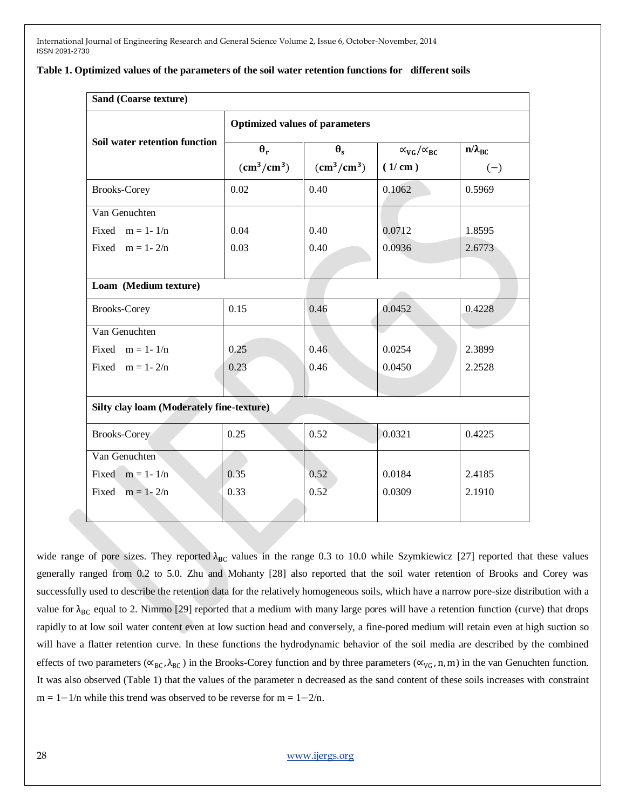| Sand (Coarse texture)                            |                                           |                                   |                                             |                               |  |  |  |  |
|--------------------------------------------------|-------------------------------------------|-----------------------------------|---------------------------------------------|-------------------------------|--|--|--|--|
|                                                  | <b>Optimized values of parameters</b>     |                                   |                                             |                               |  |  |  |  |
| Soil water retention function                    | $\theta_r$<br>$\text{(cm}^3\text{/cm}^3)$ | $\theta_{s}$<br>$\rm (cm^3/cm^3)$ | $\alpha_{\rm VG}/\alpha_{\rm BC}$<br>(1/cm) | $n/\lambda_{\rm BC}$<br>$(-)$ |  |  |  |  |
| <b>Brooks-Corey</b>                              | 0.02                                      | 0.40                              | 0.1062                                      | 0.5969                        |  |  |  |  |
| Van Genuchten                                    |                                           |                                   |                                             |                               |  |  |  |  |
| Fixed $m = 1 - 1/n$                              | 0.04                                      | 0.40                              | 0.0712                                      | 1.8595                        |  |  |  |  |
| Fixed $m = 1 - 2/n$                              | 0.03                                      | 0.40                              | 0.0936                                      | 2.6773                        |  |  |  |  |
|                                                  |                                           |                                   |                                             |                               |  |  |  |  |
| Loam (Medium texture)                            |                                           |                                   |                                             |                               |  |  |  |  |
| <b>Brooks-Corey</b>                              | 0.15                                      | 0.46                              | 0.0452                                      | 0.4228                        |  |  |  |  |
| Van Genuchten                                    |                                           |                                   |                                             |                               |  |  |  |  |
| Fixed $m = 1 - 1/n$                              | 0.25                                      | 0.46                              | 0.0254                                      | 2.3899                        |  |  |  |  |
| Fixed $m = 1 - 2/n$                              | 0.23                                      | 0.46                              | 0.0450                                      | 2.2528                        |  |  |  |  |
|                                                  |                                           |                                   |                                             |                               |  |  |  |  |
| <b>Silty clay loam (Moderately fine-texture)</b> |                                           |                                   |                                             |                               |  |  |  |  |
| <b>Brooks-Corey</b>                              | 0.25                                      | 0.52                              | 0.0321                                      | 0.4225                        |  |  |  |  |
| Van Genuchten                                    |                                           |                                   |                                             |                               |  |  |  |  |
| Fixed $m = 1 - 1/n$                              | 0.35                                      | 0.52                              | 0.0184                                      | 2.4185                        |  |  |  |  |
| Fixed $m = 1 - 2/n$                              | 0.33                                      | 0.52                              | 0.0309                                      | 2.1910                        |  |  |  |  |
|                                                  |                                           |                                   |                                             |                               |  |  |  |  |

#### **Table 1. Optimized values of the parameters of the soil water retention functions for different soils**

wide range of pore sizes. They reported  $\lambda_{BC}$  values in the range 0.3 to 10.0 while Szymkiewicz [27] reported that these values generally ranged from 0.2 to 5.0. Zhu and Mohanty [28] also reported that the soil water retention of Brooks and Corey was successfully used to describe the retention data for the relatively homogeneous soils, which have a narrow pore-size distribution with a value for  $\lambda_{BC}$  equal to 2. Nimmo [29] reported that a medium with many large pores will have a retention function (curve) that drops rapidly to at low soil water content even at low suction head and conversely, a fine-pored medium will retain even at high suction so will have a flatter retention curve. In these functions the hydrodynamic behavior of the soil media are described by the combined effects of two parameters ( $\alpha_{BC}$ ,  $\lambda_{BC}$ ) in the Brooks-Corey function and by three parameters ( $\alpha_{VG}$ , n, m) in the van Genuchten function. It was also observed (Table 1) that the values of the parameter n decreased as the sand content of these soils increases with constraint  $m = 1 - 1/n$  while this trend was observed to be reverse for  $m = 1 - 2/n$ .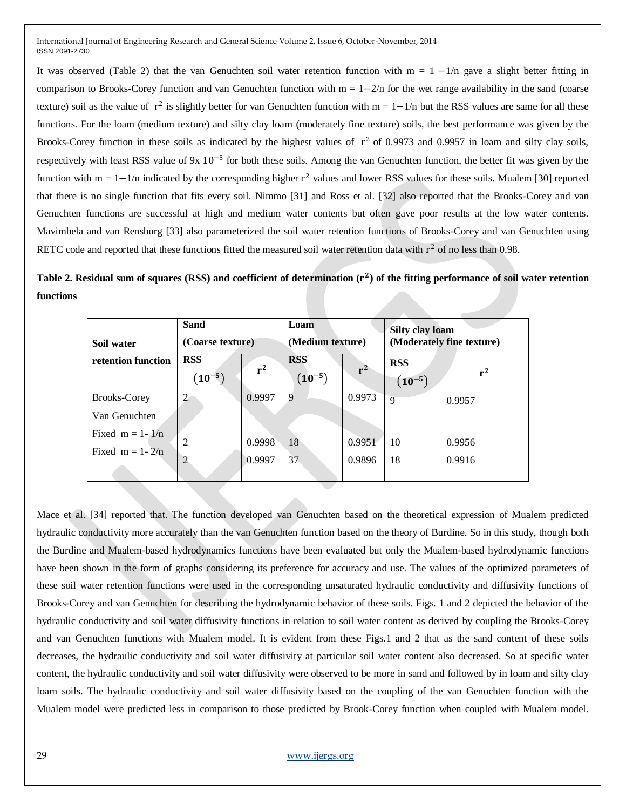It was observed (Table 2) that the van Genuchten soil water retention function with  $m = 1 - 1/n$  gave a slight better fitting in comparison to Brooks-Corey function and van Genuchten function with  $m = 1 - 2/n$  for the wet range availability in the sand (coarse texture) soil as the value of  $r^2$  is slightly better for van Genuchten function with  $m = 1 - 1/n$  but the RSS values are same for all these functions. For the loam (medium texture) and silty clay loam (moderately fine texture) soils, the best performance was given by the Brooks-Corey function in these soils as indicated by the highest values of  $r^2$  of 0.9973 and 0.9957 in loam and silty clay soils, respectively with least RSS value of 9x 10<sup>-5</sup> for both these soils. Among the van Genuchten function, the better fit was given by the function with  $m = 1 - 1/n$  indicated by the corresponding higher  $r^2$  values and lower RSS values for these soils. Mualem [30] reported that there is no single function that fits every soil. Nimmo [31] and Ross et al. [32] also reported that the Brooks-Corey and van Genuchten functions are successful at high and medium water contents but often gave poor results at the low water contents. Mavimbela and van Rensburg [33] also parameterized the soil water retention functions of Brooks-Corey and van Genuchten using RETC code and reported that these functions fitted the measured soil water retention data with  $r^2$  of no less than 0.98.

Table 2. Residual sum of squares (RSS) and coefficient of determination (r<sup>2</sup>) of the fitting performance of soil water retention **functions** 

| Sand<br>(Coarse texture)<br>Soil water                      |                           | Loam<br>(Medium texture) |                           | <b>Silty clay loam</b><br>(Moderately fine texture) |                           |                  |
|-------------------------------------------------------------|---------------------------|--------------------------|---------------------------|-----------------------------------------------------|---------------------------|------------------|
| retention function                                          | <b>RSS</b><br>$(10^{-5})$ | $r^2$                    | <b>RSS</b><br>$(10^{-5})$ | ${\bf r}^2$                                         | <b>RSS</b><br>$(10^{-5})$ | $r^2$            |
| <b>Brooks-Corey</b>                                         | $\overline{2}$            | 0.9997                   | 9                         | 0.9973                                              | $\mathbf Q$               | 0.9957           |
| Van Genuchten<br>Fixed $m = 1 - 1/n$<br>Fixed $m = 1 - 2/n$ | 2<br>2                    | 0.9998<br>0.9997         | 18<br>37                  | 0.9951<br>0.9896                                    | 10<br>18                  | 0.9956<br>0.9916 |

Mace et al. [34] reported that. The function developed van Genuchten based on the theoretical expression of Mualem predicted hydraulic conductivity more accurately than the van Genuchten function based on the theory of Burdine. So in this study, though both the Burdine and Mualem-based hydrodynamics functions have been evaluated but only the Mualem-based hydrodynamic functions have been shown in the form of graphs considering its preference for accuracy and use. The values of the optimized parameters of these soil water retention functions were used in the corresponding unsaturated hydraulic conductivity and diffusivity functions of Brooks-Corey and van Genuchten for describing the hydrodynamic behavior of these soils. Figs. 1 and 2 depicted the behavior of the hydraulic conductivity and soil water diffusivity functions in relation to soil water content as derived by coupling the Brooks-Corey and van Genuchten functions with Mualem model. It is evident from these Figs.1 and 2 that as the sand content of these soils decreases, the hydraulic conductivity and soil water diffusivity at particular soil water content also decreased. So at specific water content, the hydraulic conductivity and soil water diffusivity were observed to be more in sand and followed by in loam and silty clay loam soils. The hydraulic conductivity and soil water diffusivity based on the coupling of the van Genuchten function with the Mualem model were predicted less in comparison to those predicted by Brook-Corey function when coupled with Mualem model.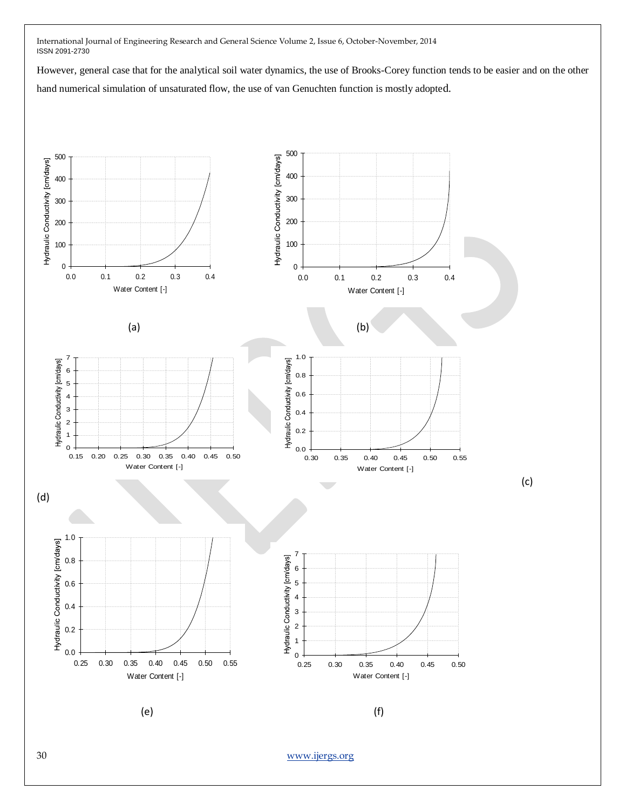However, general case that for the analytical soil water dynamics, the use of Brooks-Corey function tends to be easier and on the other hand numerical simulation of unsaturated flow, the use of van Genuchten function is mostly adopted.

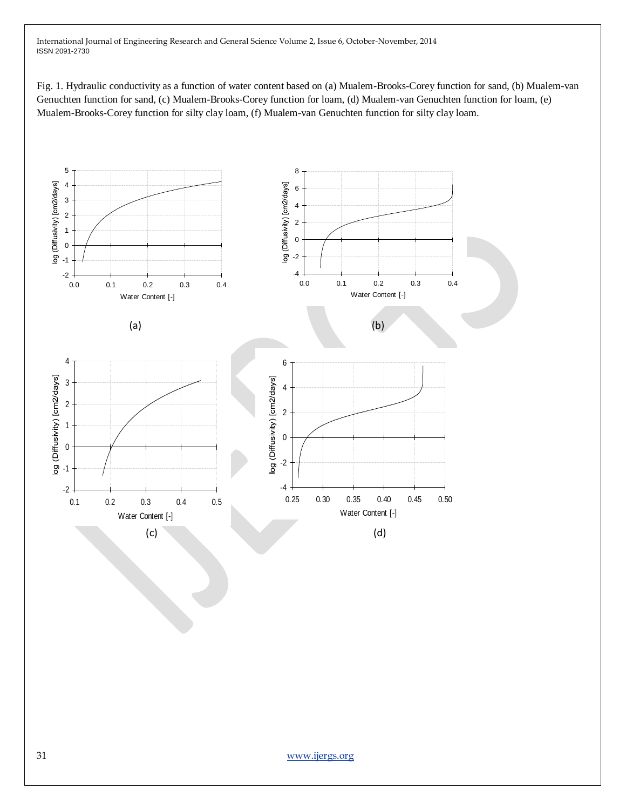Fig. 1. Hydraulic conductivity as a function of water content based on (a) Mualem-Brooks-Corey function for sand, (b) Mualem-van Genuchten function for sand, (c) Mualem-Brooks-Corey function for loam, (d) Mualem-van Genuchten function for loam, (e) Mualem-Brooks-Corey function for silty clay loam, (f) Mualem-van Genuchten function for silty clay loam.

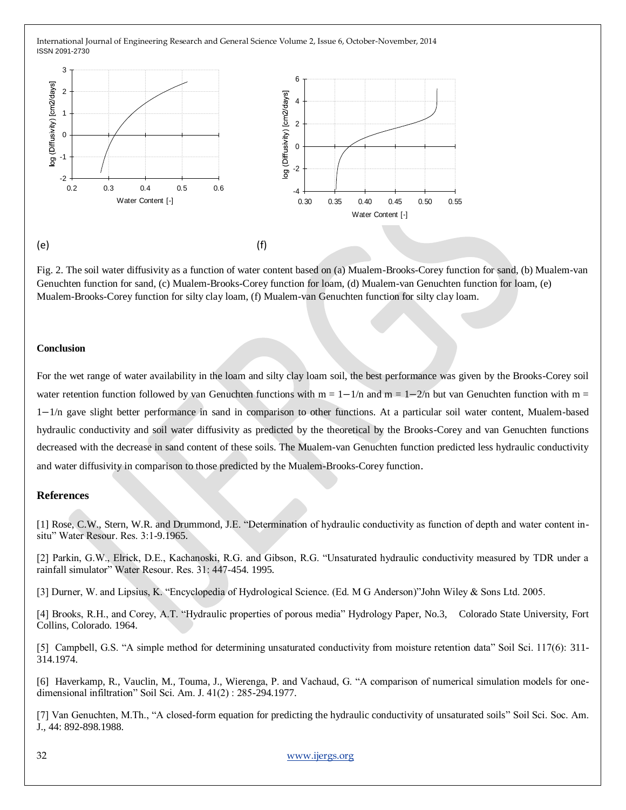

Fig. 2. The soil water diffusivity as a function of water content based on (a) Mualem-Brooks-Corey function for sand, (b) Mualem-van Genuchten function for sand, (c) Mualem-Brooks-Corey function for loam, (d) Mualem-van Genuchten function for loam, (e) Mualem-Brooks-Corey function for silty clay loam, (f) Mualem-van Genuchten function for silty clay loam.

## **Conclusion**

For the wet range of water availability in the loam and silty clay loam soil, the best performance was given by the Brooks-Corey soil water retention function followed by van Genuchten functions with  $m = 1 - 1/n$  and  $m = 1 - 2/n$  but van Genuchten function with  $m =$ 1−1/n gave slight better performance in sand in comparison to other functions. At a particular soil water content, Mualem-based hydraulic conductivity and soil water diffusivity as predicted by the theoretical by the Brooks-Corey and van Genuchten functions decreased with the decrease in sand content of these soils. The Mualem-van Genuchten function predicted less hydraulic conductivity and water diffusivity in comparison to those predicted by the Mualem-Brooks-Corey function.

### **References**

[1] Rose, C.W., Stern, W.R. and Drummond, J.E. "Determination of hydraulic conductivity as function of depth and water content insitu" Water Resour. Res. 3:1-9.1965.

[2] Parkin, G.W., Elrick, D.E., Kachanoski, R.G. and Gibson, R.G. "Unsaturated hydraulic conductivity measured by TDR under a rainfall simulator" Water Resour. Res. 31: 447-454. 1995.

[3] Durner, W. and Lipsius, K. "Encyclopedia of Hydrological Science. (Ed. M G Anderson)"John Wiley & Sons Ltd. 2005.

[4] Brooks, R.H., and Corey, A.T. "Hydraulic properties of porous media" Hydrology Paper, No.3, Colorado State University, Fort Collins, Colorado. 1964.

[5] Campbell, G.S. "A simple method for determining unsaturated conductivity from moisture retention data" Soil Sci. 117(6): 311-314.1974.

[6] Haverkamp, R., Vauclin, M., Touma, J., Wierenga, P. and Vachaud, G. "A comparison of numerical simulation models for onedimensional infiltration" Soil Sci. Am. J. 41(2) : 285-294.1977.

[7] Van Genuchten, M.Th., "A closed-form equation for predicting the hydraulic conductivity of unsaturated soils" Soil Sci. Soc. Am. J., 44: 892-898.1988.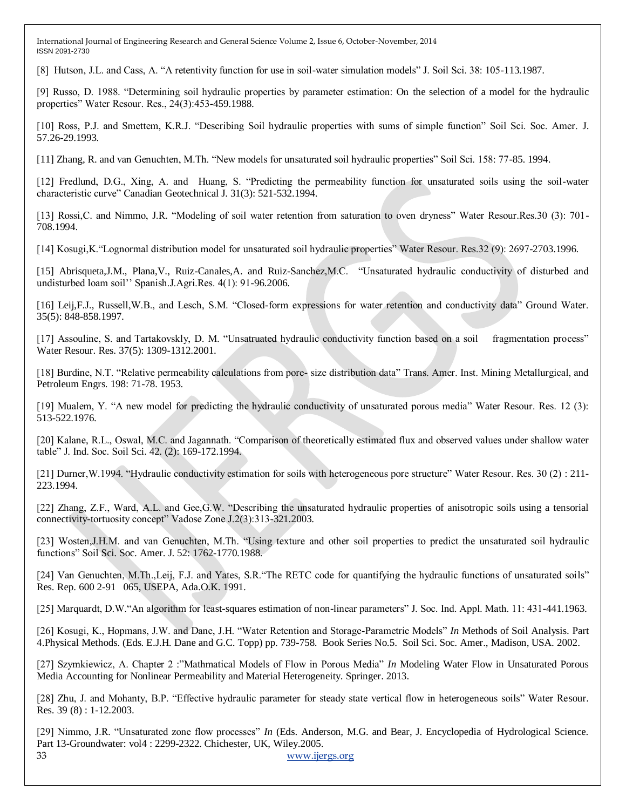[8] Hutson, J.L. and Cass, A. "A retentivity function for use in soil-water simulation models" J. Soil Sci. 38: 105-113.1987.

[9] Russo, D. 1988. "Determining soil hydraulic properties by parameter estimation: On the selection of a model for the hydraulic properties" Water Resour. Res., 24(3):453-459.1988.

[10] Ross, P.J. and Smettem, K.R.J. "Describing Soil hydraulic properties with sums of simple function" Soil Sci. Soc. Amer. J. 57.26-29.1993.

[11] Zhang, R. and van Genuchten, M.Th. "New models for unsaturated soil hydraulic properties" Soil Sci. 158: 77-85. 1994.

[12] Fredlund, D.G., Xing, A. and Huang, S. "Predicting the permeability function for unsaturated soils using the soil-water characteristic curve" Canadian Geotechnical J. 31(3): 521-532.1994.

[13] Rossi,C. and Nimmo, J.R. "Modeling of soil water retention from saturation to oven dryness" Water Resour.Res.30 (3): 701- 708.1994.

[14] Kosugi,K."Lognormal distribution model for unsaturated soil hydraulic properties" Water Resour. Res.32 (9): 2697-2703.1996.

[15] Abrisqueta,J.M., Plana,V., Ruiz-Canales,A. and Ruiz-Sanchez,M.C. "Unsaturated hydraulic conductivity of disturbed and undisturbed loam soil'' Spanish.J.Agri.Res. 4(1): 91-96.2006.

[16] Leij,F.J., Russell,W.B., and Lesch, S.M. "Closed-form expressions for water retention and conductivity data" Ground Water. 35(5): 848-858.1997.

[17] Assouline, S. and Tartakovskly, D. M. "Unsatruated hydraulic conductivity function based on a soil fragmentation process" Water Resour. Res. 37(5): 1309-1312.2001.

[18] Burdine, N.T. "Relative permeability calculations from pore- size distribution data" Trans. Amer. Inst. Mining Metallurgical, and Petroleum Engrs. 198: 71-78. 1953.

[19] Mualem, Y. "A new model for predicting the hydraulic conductivity of unsaturated porous media" Water Resour. Res. 12 (3): 513-522.1976.

[20] Kalane, R.L., Oswal, M.C. and Jagannath. "Comparison of theoretically estimated flux and observed values under shallow water table" J. Ind. Soc. Soil Sci. 42. (2): 169-172.1994.

[21] Durner,W.1994. "Hydraulic conductivity estimation for soils with heterogeneous pore structure" Water Resour. Res. 30 (2) : 211- 223.1994.

[22] Zhang, Z.F., Ward, A.L. and Gee,G.W. "Describing the unsaturated hydraulic properties of anisotropic soils using a tensorial connectivity-tortuosity concept" Vadose Zone J.2(3):313-321.2003.

[23] Wosten,J.H.M. and van Genuchten, M.Th. "Using texture and other soil properties to predict the unsaturated soil hydraulic functions" Soil Sci. Soc. Amer. J. 52: 1762-1770.1988.

[24] Van Genuchten, M.Th.,Leij, F.J. and Yates, S.R."The RETC code for quantifying the hydraulic functions of unsaturated soils" Res. Rep. 600 2-91 065, USEPA, Ada.O.K. 1991.

[25] Marquardt, D.W."An algorithm for least-squares estimation of non-linear parameters" J. Soc. Ind. Appl. Math. 11: 431-441.1963.

[26] Kosugi, K., Hopmans, J.W. and Dane, J.H. "Water Retention and Storage-Parametric Models" *In* Methods of Soil Analysis. Part 4.Physical Methods. (Eds. E.J.H. Dane and G.C. Topp) pp. 739-758. Book Series No.5. Soil Sci. Soc. Amer., Madison, USA. 2002.

[27] Szymkiewicz, A. Chapter 2 :"Mathmatical Models of Flow in Porous Media" *In* Modeling Water Flow in Unsaturated Porous Media Accounting for Nonlinear Permeability and Material Heterogeneity. Springer. 2013.

[28] Zhu, J. and Mohanty, B.P. "Effective hydraulic parameter for steady state vertical flow in heterogeneous soils" Water Resour. Res. 39 (8) : 1-12.2003.

33 [www.ijergs.org](http://www.ijergs.org/) [29] Nimmo, J.R. "Unsaturated zone flow processes" *In* (Eds. Anderson, M.G. and Bear, J. Encyclopedia of Hydrological Science. Part 13-Groundwater: vol4 : 2299-2322. Chichester, UK, Wiley.2005.